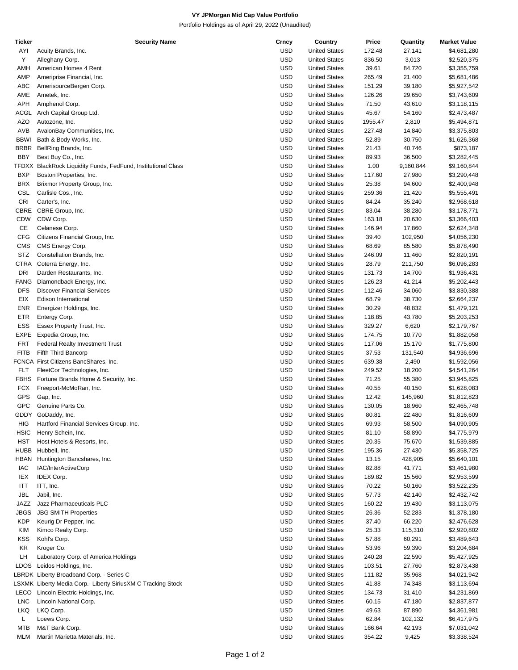## **VY JPMorgan Mid Cap Value Portfolio**

Portfolio Holdings as of April 29, 2022 (Unaudited)

| Ticker      | <b>Security Name</b>                                          | Crncy      | Country              | Price   | Quantity  | <b>Market Value</b> |
|-------------|---------------------------------------------------------------|------------|----------------------|---------|-----------|---------------------|
| AYI         | Acuity Brands, Inc.                                           | <b>USD</b> | <b>United States</b> | 172.48  | 27,141    | \$4,681,280         |
| Υ           | Alleghany Corp.                                               | <b>USD</b> | <b>United States</b> | 836.50  | 3,013     | \$2,520,375         |
| AMH         | American Homes 4 Rent                                         | <b>USD</b> | <b>United States</b> | 39.61   | 84,720    | \$3,355,759         |
| AMP         | Ameriprise Financial, Inc.                                    | <b>USD</b> | <b>United States</b> | 265.49  | 21,400    | \$5,681,486         |
| ABC         | AmerisourceBergen Corp.                                       | <b>USD</b> | <b>United States</b> | 151.29  | 39,180    | \$5,927,542         |
| AME         | Ametek, Inc.                                                  | <b>USD</b> | <b>United States</b> | 126.26  | 29,650    | \$3,743,609         |
| APH         | Amphenol Corp.                                                | <b>USD</b> | <b>United States</b> | 71.50   | 43,610    | \$3,118,115         |
| ACGL        | Arch Capital Group Ltd.                                       | <b>USD</b> | <b>United States</b> | 45.67   | 54,160    | \$2,473,487         |
| <b>AZO</b>  | Autozone, Inc.                                                | <b>USD</b> | <b>United States</b> | 1955.47 | 2,810     | \$5,494,871         |
| AVB         | AvalonBay Communities, Inc.                                   | <b>USD</b> | <b>United States</b> | 227.48  | 14,840    | \$3,375,803         |
| <b>BBWI</b> | Bath & Body Works, Inc.                                       | <b>USD</b> | <b>United States</b> | 52.89   | 30,750    | \$1,626,368         |
| <b>BRBR</b> | BellRing Brands, Inc.                                         | <b>USD</b> | <b>United States</b> | 21.43   | 40,746    | \$873,187           |
| BBY         | Best Buy Co., Inc.                                            | <b>USD</b> | <b>United States</b> | 89.93   | 36,500    | \$3,282,445         |
|             | TFDXX BlackRock Liquidity Funds, FedFund, Institutional Class | <b>USD</b> | <b>United States</b> | 1.00    | 9,160,844 | \$9,160,844         |
| <b>BXP</b>  | Boston Properties, Inc.                                       | <b>USD</b> | <b>United States</b> | 117.60  | 27,980    | \$3,290,448         |
| <b>BRX</b>  | Brixmor Property Group, Inc.                                  | <b>USD</b> | <b>United States</b> | 25.38   | 94,600    | \$2,400,948         |
| <b>CSL</b>  | Carlisle Cos., Inc.                                           | <b>USD</b> | <b>United States</b> | 259.36  |           |                     |
|             |                                                               |            |                      |         | 21,420    | \$5,555,491         |
| <b>CRI</b>  | Carter's, Inc.                                                | <b>USD</b> | <b>United States</b> | 84.24   | 35,240    | \$2,968,618         |
| CBRE        | CBRE Group, Inc.                                              | <b>USD</b> | <b>United States</b> | 83.04   | 38,280    | \$3,178,771         |
| CDW         | CDW Corp.                                                     | <b>USD</b> | <b>United States</b> | 163.18  | 20,630    | \$3,366,403         |
| CE          | Celanese Corp.                                                | <b>USD</b> | <b>United States</b> | 146.94  | 17,860    | \$2,624,348         |
| <b>CFG</b>  | Citizens Financial Group, Inc.                                | <b>USD</b> | <b>United States</b> | 39.40   | 102,950   | \$4,056,230         |
| <b>CMS</b>  | CMS Energy Corp.                                              | <b>USD</b> | <b>United States</b> | 68.69   | 85,580    | \$5,878,490         |
| <b>STZ</b>  | Constellation Brands, Inc.                                    | <b>USD</b> | <b>United States</b> | 246.09  | 11,460    | \$2,820,191         |
| CTRA        | Coterra Energy, Inc.                                          | <b>USD</b> | <b>United States</b> | 28.79   | 211,750   | \$6,096,283         |
| <b>DRI</b>  | Darden Restaurants, Inc.                                      | <b>USD</b> | <b>United States</b> | 131.73  | 14,700    | \$1,936,431         |
| FANG        | Diamondback Energy, Inc.                                      | <b>USD</b> | <b>United States</b> | 126.23  | 41,214    | \$5,202,443         |
| <b>DFS</b>  | <b>Discover Financial Services</b>                            | <b>USD</b> | <b>United States</b> | 112.46  | 34,060    | \$3,830,388         |
| EIX         | Edison International                                          | <b>USD</b> | <b>United States</b> | 68.79   | 38,730    | \$2,664,237         |
| ENR         | Energizer Holdings, Inc.                                      | <b>USD</b> | <b>United States</b> | 30.29   | 48,832    | \$1,479,121         |
| ETR         | Entergy Corp.                                                 | <b>USD</b> | <b>United States</b> | 118.85  | 43,780    | \$5,203,253         |
| <b>ESS</b>  | Essex Property Trust, Inc.                                    | <b>USD</b> | <b>United States</b> | 329.27  | 6,620     | \$2,179,767         |
| EXPE        | Expedia Group, Inc.                                           | <b>USD</b> | <b>United States</b> | 174.75  | 10,770    | \$1,882,058         |
| <b>FRT</b>  | <b>Federal Realty Investment Trust</b>                        | <b>USD</b> | <b>United States</b> | 117.06  | 15,170    | \$1,775,800         |
| <b>FITB</b> | Fifth Third Bancorp                                           | <b>USD</b> | <b>United States</b> | 37.53   | 131,540   | \$4,936,696         |
|             | FCNCA First Citizens BancShares, Inc.                         | <b>USD</b> | <b>United States</b> | 639.38  | 2,490     | \$1,592,056         |
| <b>FLT</b>  | FleetCor Technologies, Inc.                                   | <b>USD</b> | <b>United States</b> | 249.52  | 18,200    | \$4,541,264         |
| <b>FBHS</b> | Fortune Brands Home & Security, Inc.                          | <b>USD</b> | <b>United States</b> | 71.25   | 55,380    | \$3,945,825         |
| <b>FCX</b>  | Freeport-McMoRan, Inc.                                        | <b>USD</b> | <b>United States</b> | 40.55   | 40,150    | \$1,628,083         |
| <b>GPS</b>  | Gap, Inc.                                                     | <b>USD</b> | <b>United States</b> | 12.42   | 145,960   | \$1,812,823         |
| <b>GPC</b>  | Genuine Parts Co.                                             | <b>USD</b> | <b>United States</b> | 130.05  | 18,960    | \$2,465,748         |
|             | GDDY GoDaddy, Inc.                                            | USD        | <b>United States</b> | 80.81   | 22,480    | \$1,816,609         |
| HIG         | Hartford Financial Services Group, Inc.                       | <b>USD</b> | <b>United States</b> | 69.93   | 58,500    | \$4,090,905         |
| <b>HSIC</b> | Henry Schein, Inc.                                            | <b>USD</b> | <b>United States</b> | 81.10   | 58,890    | \$4,775,979         |
| HST         | Host Hotels & Resorts, Inc.                                   | <b>USD</b> | <b>United States</b> | 20.35   | 75,670    | \$1,539,885         |
| HUBB        | Hubbell, Inc.                                                 | <b>USD</b> | <b>United States</b> | 195.36  | 27,430    | \$5,358,725         |
| HBAN        | Huntington Bancshares, Inc.                                   | <b>USD</b> | <b>United States</b> | 13.15   | 428,905   | \$5,640,101         |
| IAC         | IAC/InterActiveCorp                                           | <b>USD</b> | <b>United States</b> | 82.88   | 41,771    | \$3,461,980         |
| IEX         | <b>IDEX Corp.</b>                                             | <b>USD</b> | <b>United States</b> | 189.82  | 15,560    | \$2,953,599         |
| ITT         | ITT, Inc.                                                     | <b>USD</b> | <b>United States</b> | 70.22   | 50,160    | \$3,522,235         |
| <b>JBL</b>  | Jabil, Inc.                                                   | <b>USD</b> | <b>United States</b> | 57.73   | 42,140    | \$2,432,742         |
|             |                                                               | <b>USD</b> |                      |         |           |                     |
| JAZZ        | Jazz Pharmaceuticals PLC                                      |            | <b>United States</b> | 160.22  | 19,430    | \$3,113,075         |
| <b>JBGS</b> | <b>JBG SMITH Properties</b>                                   | <b>USD</b> | <b>United States</b> | 26.36   | 52,283    | \$1,378,180         |
| KDP         | Keurig Dr Pepper, Inc.                                        | <b>USD</b> | <b>United States</b> | 37.40   | 66,220    | \$2,476,628         |
| KIM         | Kimco Realty Corp.                                            | <b>USD</b> | <b>United States</b> | 25.33   | 115,310   | \$2,920,802         |
| KSS         | Kohl's Corp.                                                  | <b>USD</b> | <b>United States</b> | 57.88   | 60,291    | \$3,489,643         |
| KR          | Kroger Co.                                                    | <b>USD</b> | <b>United States</b> | 53.96   | 59,390    | \$3,204,684         |
| LH          | Laboratory Corp. of America Holdings                          | <b>USD</b> | <b>United States</b> | 240.28  | 22,590    | \$5,427,925         |
| LDOS        | Leidos Holdings, Inc.                                         | <b>USD</b> | <b>United States</b> | 103.51  | 27,760    | \$2,873,438         |
|             | LBRDK Liberty Broadband Corp. - Series C                      | <b>USD</b> | <b>United States</b> | 111.82  | 35,968    | \$4,021,942         |
|             | LSXMK Liberty Media Corp.- Liberty SiriusXM C Tracking Stock  | <b>USD</b> | <b>United States</b> | 41.88   | 74,348    | \$3,113,694         |
| LECO        | Lincoln Electric Holdings, Inc.                               | <b>USD</b> | <b>United States</b> | 134.73  | 31,410    | \$4,231,869         |
| <b>LNC</b>  | Lincoln National Corp.                                        | <b>USD</b> | <b>United States</b> | 60.15   | 47,180    | \$2,837,877         |
| LKQ         | LKQ Corp.                                                     | <b>USD</b> | <b>United States</b> | 49.63   | 87,890    | \$4,361,981         |
| L           | Loews Corp.                                                   | <b>USD</b> | <b>United States</b> | 62.84   | 102,132   | \$6,417,975         |
| MTB         | M&T Bank Corp.                                                | <b>USD</b> | <b>United States</b> | 166.64  | 42,193    | \$7,031,042         |
| MLM         | Martin Marietta Materials, Inc.                               | <b>USD</b> | <b>United States</b> | 354.22  | 9,425     | \$3,338,524         |